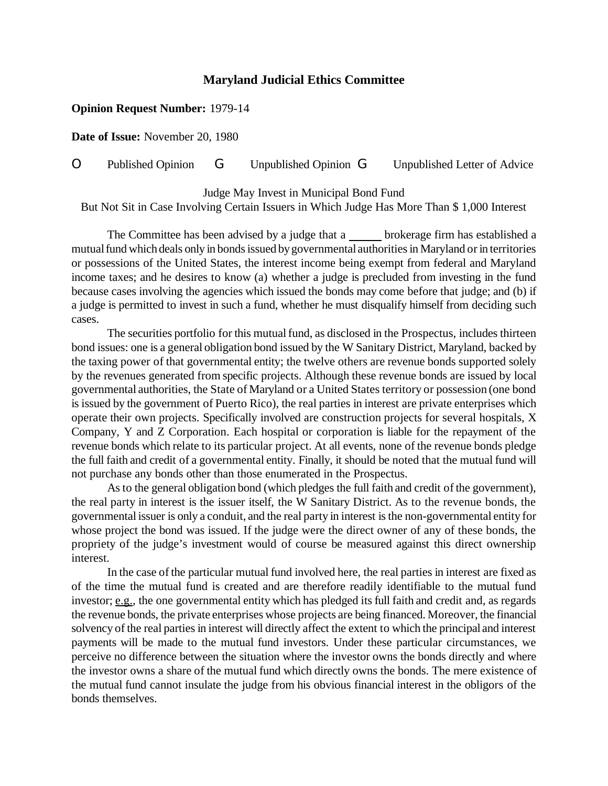## **Maryland Judicial Ethics Committee**

## **Opinion Request Number:** 1979-14

**Date of Issue:** November 20, 1980

O Published Opinion G Unpublished Opinion G Unpublished Letter of Advice

Judge May Invest in Municipal Bond Fund But Not Sit in Case Involving Certain Issuers in Which Judge Has More Than \$ 1,000 Interest

The Committee has been advised by a judge that a brokerage firm has established a mutual fund which deals only in bonds issued by governmental authorities in Maryland or in territories or possessions of the United States, the interest income being exempt from federal and Maryland income taxes; and he desires to know (a) whether a judge is precluded from investing in the fund because cases involving the agencies which issued the bonds may come before that judge; and (b) if a judge is permitted to invest in such a fund, whether he must disqualify himself from deciding such cases.

The securities portfolio for this mutual fund, as disclosed in the Prospectus, includes thirteen bond issues: one is a general obligation bond issued by the W Sanitary District, Maryland, backed by the taxing power of that governmental entity; the twelve others are revenue bonds supported solely by the revenues generated from specific projects. Although these revenue bonds are issued by local governmental authorities, the State of Maryland or a United States territory or possession (one bond is issued by the government of Puerto Rico), the real parties in interest are private enterprises which operate their own projects. Specifically involved are construction projects for several hospitals, X Company, Y and Z Corporation. Each hospital or corporation is liable for the repayment of the revenue bonds which relate to its particular project. At all events, none of the revenue bonds pledge the full faith and credit of a governmental entity. Finally, it should be noted that the mutual fund will not purchase any bonds other than those enumerated in the Prospectus.

As to the general obligation bond (which pledges the full faith and credit ofthe government), the real party in interest is the issuer itself, the W Sanitary District. As to the revenue bonds, the governmental issuer is only a conduit, and the real party in interest isthe non-governmental entity for whose project the bond was issued. If the judge were the direct owner of any of these bonds, the propriety of the judge's investment would of course be measured against this direct ownership interest.

In the case of the particular mutual fund involved here, the real parties in interest are fixed as of the time the mutual fund is created and are therefore readily identifiable to the mutual fund investor; e.g., the one governmental entity which has pledged its full faith and credit and, as regards the revenue bonds, the private enterprises whose projects are being financed. Moreover, the financial solvency ofthe real parties in interest will directly affect the extent to which the principal and interest payments will be made to the mutual fund investors. Under these particular circumstances, we perceive no difference between the situation where the investor owns the bonds directly and where the investor owns a share of the mutual fund which directly owns the bonds. The mere existence of the mutual fund cannot insulate the judge from his obvious financial interest in the obligors of the bonds themselves.